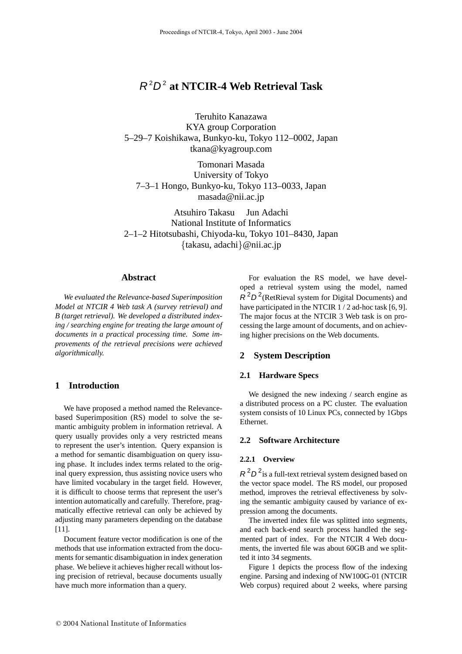# R 2D 2 **at NTCIR-4 Web Retrieval Task**

Teruhito Kanazawa KYA group Corporation 5–29–7 Koishikawa, Bunkyo-ku, Tokyo 112–0002, Japan tkana@kyagroup.com

Tomonari Masada University of Tokyo 7–3–1 Hongo, Bunkyo-ku, Tokyo 113–0033, Japan masada@nii.ac.jp

Atsuhiro Takasu Jun Adachi National Institute of Informatics 2–1–2 Hitotsubashi, Chiyoda-ku, Tokyo 101–8430, Japan {takasu, adachi}@nii.ac.jp

## **Abstract**

*We evaluated the Relevance-based Superimposition Model at NTCIR 4 Web task A (survey retrieval) and B (target retrieval). We developed a distributed indexing / searching engine for treating the large amount of documents in a practical processing time. Some improvements of the retrieval precisions were achieved algorithmically.*

## **1 Introduction**

We have proposed a method named the Relevancebased Superimposition (RS) model to solve the semantic ambiguity problem in information retrieval. A query usually provides only a very restricted means to represent the user's intention. Query expansion is a method for semantic disambiguation on query issuing phase. It includes index terms related to the original query expression, thus assisting novice users who have limited vocabulary in the target field. However, it is difficult to choose terms that represent the user's intention automatically and carefully. Therefore, pragmatically effective retrieval can only be achieved by adjusting many parameters depending on the database [11].

Document feature vector modification is one of the methods that use information extracted from the documents for semantic disambiguation in index generation phase. We believe it achieves higher recall without losing precision of retrieval, because documents usually have much more information than a query.

For evaluation the RS model, we have developed a retrieval system using the model, named  $R^2D^2$ (RetRieval system for Digital Documents) and have participated in the NTCIR 1/2 ad-hoc task [6, 9]. The major focus at the NTCIR 3 Web task is on processing the large amount of documents, and on achieving higher precisions on the Web documents.

# **2 System Description**

#### **2.1 Hardware Specs**

We designed the new indexing / search engine as a distributed process on a PC cluster. The evaluation system consists of 10 Linux PCs, connected by 1Gbps Ethernet.

#### **2.2 Software Architecture**

#### **2.2.1 Overview**

 $R<sup>2</sup>D<sup>2</sup>$  is a full-text retrieval system designed based on the vector space model. The RS model, our proposed method, improves the retrieval effectiveness by solving the semantic ambiguity caused by variance of expression among the documents.

The inverted index file was splitted into segments, and each back-end search process handled the segmented part of index. For the NTCIR 4 Web documents, the inverted file was about 60GB and we splitted it into 34 segments.

Figure 1 depicts the process flow of the indexing engine. Parsing and indexing of NW100G-01 (NTCIR Web corpus) required about 2 weeks, where parsing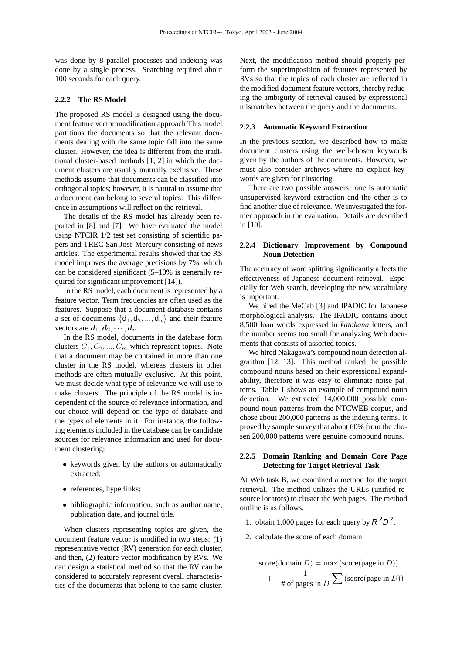was done by 8 parallel processes and indexing was done by a single process. Searching required about 100 seconds for each query.

#### **2.2.2 The RS Model**

The proposed RS model is designed using the document feature vector modification approach This model partitions the documents so that the relevant documents dealing with the same topic fall into the same cluster. However, the idea is different from the traditional cluster-based methods [1, 2] in which the document clusters are usually mutually exclusive. These methods assume that documents can be classified into orthogonal topics; however, it is natural to assume that a document can belong to several topics. This difference in assumptions will reflect on the retrieval.

The details of the RS model has already been reported in [8] and [7]. We have evaluated the model using NTCIR 1/2 test set consisting of scientific papers and TREC San Jose Mercury consisting of news articles. The experimental results showed that the RS model improves the average precisions by 7%, which can be considered significant (5–10% is generally required for significant improvement [14]).

In the RS model, each document is represented by a feature vector. Term frequencies are often used as the features. Suppose that a document database contains a set of documents  $\{d_1, d_2, ..., d_n\}$  and their feature vectors are  $d_1, d_2, \cdots, d_n$ .

In the RS model, documents in the database form clusters  $C_1, C_2, ..., C_m$  which represent topics. Note that a document may be contained in more than one cluster in the RS model, whereas clusters in other methods are often mutually exclusive. At this point, we must decide what type of relevance we will use to make clusters. The principle of the RS model is independent of the source of relevance information, and our choice will depend on the type of database and the types of elements in it. For instance, the following elements included in the database can be candidate sources for relevance information and used for document clustering:

- keywords given by the authors or automatically extracted;
- references, hyperlinks;
- bibliographic information, such as author name, publication date, and journal title.

When clusters representing topics are given, the document feature vector is modified in two steps: (1) representative vector (RV) generation for each cluster, and then, (2) feature vector modification by RVs. We can design a statistical method so that the RV can be considered to accurately represent overall characteristics of the documents that belong to the same cluster. Next, the modification method should properly perform the superimposition of features represented by RVs so that the topics of each cluster are reflected in the modified document feature vectors, thereby reducing the ambiguity of retrieval caused by expressional mismatches between the query and the documents.

#### **2.2.3 Automatic Keyword Extraction**

In the previous section, we described how to make document clusters using the well-chosen keywords given by the authors of the documents. However, we must also consider archives where no explicit keywords are given for clustering.

There are two possible answers: one is automatic unsupervised keyword extraction and the other is to find another clue of relevance. We investigated the former approach in the evaluation. Details are described in [10].

### **2.2.4 Dictionary Improvement by Compound Noun Detection**

The accuracy of word splitting significantly affects the effectiveness of Japanese document retrieval. Especially for Web search, developing the new vocabulary is important.

We hired the MeCab [3] and IPADIC for Japanese morphological analysis. The IPADIC contains about 8,500 loan words expressed in *katakana* letters, and the number seems too small for analyzing Web documents that consists of assorted topics.

We hired Nakagawa's compound noun detection algorithm [12, 13]. This method ranked the possible compound nouns based on their expressional expandability, therefore it was easy to eliminate noise patterns. Table 1 shows an example of compound noun detection. We extracted 14,000,000 possible compound noun patterns from the NTCWEB corpus, and chose about 200,000 patterns as the indexing terms. It proved by sample survey that about 60% from the chosen 200,000 patterns were genuine compound nouns.

## **2.2.5 Domain Ranking and Domain Core Page Detecting for Target Retrieval Task**

At Web task B, we examined a method for the target retrieval. The method utilizes the URLs (unified resource locators) to cluster the Web pages. The method outline is as follows.

- 1. obtain 1,000 pages for each query by  $R^2D^2$ .
- 2. calculate the score of each domain:

score(domain 
$$
D
$$
) = max (score(page in  $D$ ))  
+  $\frac{1}{\# \text{ of pages in } D} \sum$  (score(page in  $D$ ))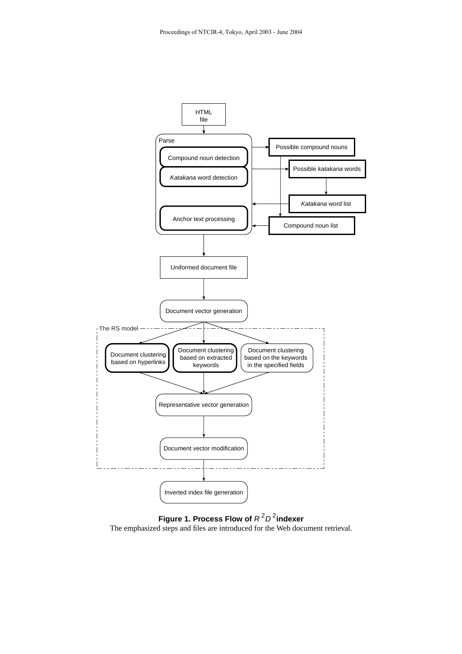



The emphasized steps and files are introduced for the Web document retrieval.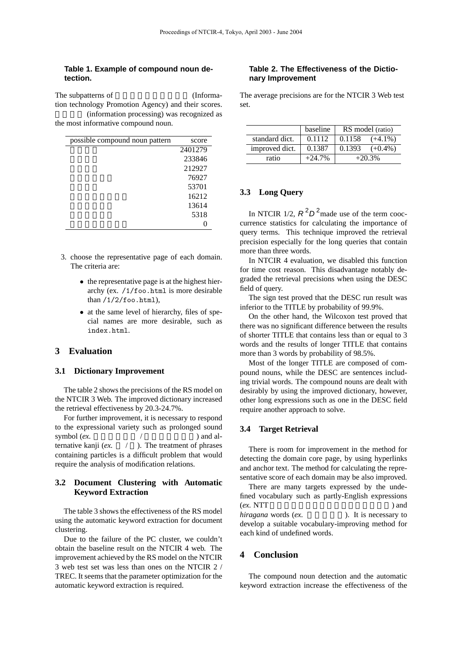## **Table 1. Example of compound noun detection.**

The subpatterns of  $(Informa$ tion technology Promotion Agency) and their scores. (information processing) was recognized as the most informative compound noun.

| possible compound noun pattern | score   |
|--------------------------------|---------|
|                                | 2401279 |
|                                | 233846  |
|                                | 212927  |
|                                | 76927   |
|                                | 53701   |
|                                | 16212   |
|                                | 13614   |
|                                | 5318    |
|                                |         |

- 3. choose the representative page of each domain. The criteria are:
	- the representative page is at the highest hierarchy (ex. /1/foo.html is more desirable than  $/1/2/f$ oo.html),
	- at the same level of hierarchy, files of special names are more desirable, such as index.html.

# **3 Evaluation**

## **3.1 Dictionary Improvement**

The table 2 shows the precisions of the RS model on the NTCIR 3 Web. The improved dictionary increased the retrieval effectiveness by 20.3-24.7%.

For further improvement, it is necessary to respond to the expressional variety such as prolonged sound symbol (*ex.*  $/$  ) and alternative kanji (*ex.* / ). The treatment of phrases containing particles is a difficult problem that would require the analysis of modification relations.

# **3.2 Document Clustering with Automatic Keyword Extraction**

The table 3 shows the effectiveness of the RS model using the automatic keyword extraction for document clustering.

Due to the failure of the PC cluster, we couldn't obtain the baseline result on the NTCIR 4 web. The improvement achieved by the RS model on the NTCIR 3 web test set was less than ones on the NTCIR 2 / TREC. It seems that the parameter optimization for the automatic keyword extraction is required.

#### **Table 2. The Effectiveness of the Dictionary Improvement**

The average precisions are for the NTCIR 3 Web test set.

|                | baseline | RS model (ratio)     |  |  |
|----------------|----------|----------------------|--|--|
| standard dict. | 0.1112   | 0.1158<br>$(+4.1\%)$ |  |  |
| improved dict. | 0.1387   | 0.1393<br>$(+0.4\%)$ |  |  |
| ratio          | $+24.7%$ | $+20.3%$             |  |  |

# **3.3 Long Query**

In NTCIR 1/2,  $R^2D^2$  made use of the term cooccurrence statistics for calculating the importance of query terms. This technique improved the retrieval precision especially for the long queries that contain more than three words.

In NTCIR 4 evaluation, we disabled this function for time cost reason. This disadvantage notably degraded the retrieval precisions when using the DESC field of query.

The sign test proved that the DESC run result was inferior to the TITLE by probability of 99.9%.

On the other hand, the Wilcoxon test proved that there was no significant difference between the results of shorter TITLE that contains less than or equal to 3 words and the results of longer TITLE that contains more than 3 words by probability of 98.5%.

Most of the longer TITLE are composed of compound nouns, while the DESC are sentences including trivial words. The compound nouns are dealt with desirably by using the improved dictionary, however, other long expressions such as one in the DESC field require another approach to solve.

## **3.4 Target Retrieval**

There is room for improvement in the method for detecting the domain core page, by using hyperlinks and anchor text. The method for calculating the representative score of each domain may be also improved.

There are many targets expressed by the undefined vocabulary such as partly-English expressions  $(ex. NTT$  and *hiragana* words (*ex.* ). It is necessary to develop a suitable vocabulary-improving method for each kind of undefined words.

# **4 Conclusion**

The compound noun detection and the automatic keyword extraction increase the effectiveness of the